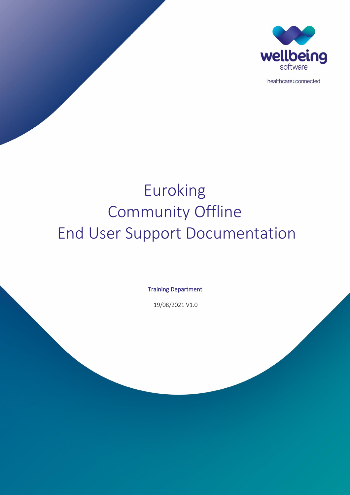

healthcare: connected

# Euroking Community Offline End User Support Documentation

Training Department

19/08/2021 V1.0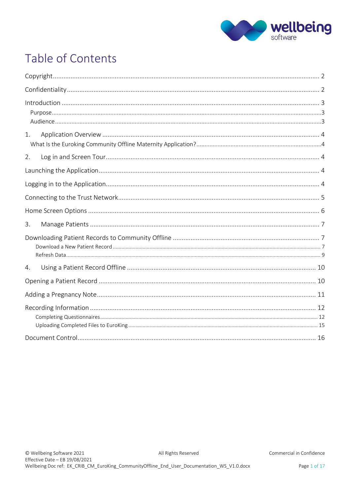

# Table of Contents

| $Introduction 33$ |  |
|-------------------|--|
| 1.                |  |
| 2.                |  |
|                   |  |
|                   |  |
|                   |  |
|                   |  |
| 3.                |  |
|                   |  |
| 4.                |  |
|                   |  |
|                   |  |
|                   |  |
|                   |  |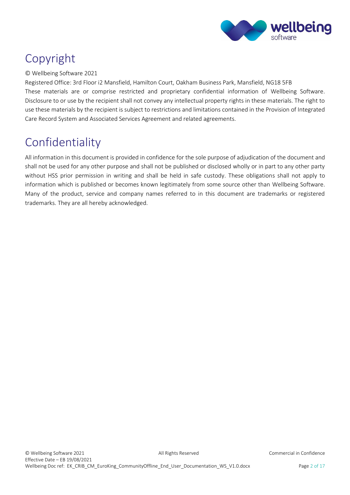

# <span id="page-2-0"></span>Copyright

#### © Wellbeing Software 2021

Registered Office: 3rd Floor i2 Mansfield, Hamilton Court, Oakham Business Park, Mansfield, NG18 5FB These materials are or comprise restricted and proprietary confidential information of Wellbeing Software. Disclosure to or use by the recipient shall not convey any intellectual property rights in these materials. The right to use these materials by the recipient is subject to restrictions and limitations contained in the Provision of Integrated Care Record System and Associated Services Agreement and related agreements.

# <span id="page-2-1"></span>Confidentiality

All information in this document is provided in confidence for the sole purpose of adjudication of the document and shall not be used for any other purpose and shall not be published or disclosed wholly or in part to any other party without HSS prior permission in writing and shall be held in safe custody. These obligations shall not apply to information which is published or becomes known legitimately from some source other than Wellbeing Software. Many of the product, service and company names referred to in this document are trademarks or registered trademarks. They are all hereby acknowledged.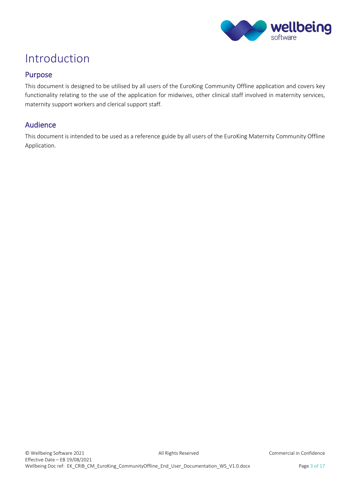

# <span id="page-3-0"></span>Introduction

### <span id="page-3-1"></span>Purpose

This document is designed to be utilised by all users of the EuroKing Community Offline application and covers key functionality relating to the use of the application for midwives, other clinical staff involved in maternity services, maternity support workers and clerical support staff.

### <span id="page-3-2"></span>Audience

This document is intended to be used as a reference guide by all users of the EuroKing Maternity Community Offline Application.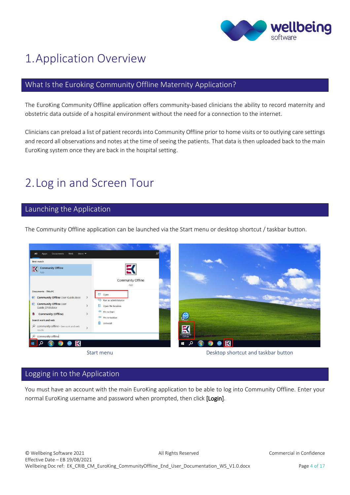

# <span id="page-4-0"></span>1.Application Overview

### <span id="page-4-1"></span>What Is the Euroking Community Offline Maternity Application?

The EuroKing Community Offline application offers community-based clinicians the ability to record maternity and obstetric data outside of a hospital environment without the need for a connection to the internet.

Clinicians can preload a list of patient records into Community Offline prior to home visits or to outlying care settings and record all observations and notes at the time of seeing the patients. That data is then uploaded back to the main EuroKing system once they are back in the hospital setting.

# <span id="page-4-2"></span>2.Log in and Screen Tour

#### <span id="page-4-3"></span>Launching the Application

The Community Offline application can be launched via the Start menu or desktop shortcut / taskbar button.



<span id="page-4-4"></span>Logging in to the Application

You must have an account with the main EuroKing application to be able to log into Community Offline. Enter your normal EuroKing username and password when prompted, then click [Login].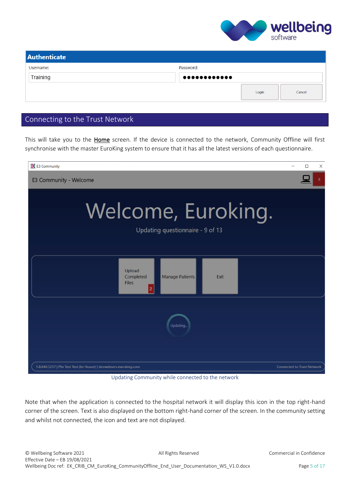

| <b>Authenticate</b> |                 |       |        |  |  |
|---------------------|-----------------|-------|--------|--|--|
| Username:           | Password:       |       |        |  |  |
| Training            | $0000000000000$ |       |        |  |  |
|                     |                 | Login | Cancel |  |  |

## <span id="page-5-0"></span>Connecting to the Trust Network

This will take you to the Home screen. If the device is connected to the network, Community Offline will first synchronise with the master EuroKing system to ensure that it has all the latest versions of each questionnaire.

| EX E3 Community                                                                  |                                   | П | $\times$ |
|----------------------------------------------------------------------------------|-----------------------------------|---|----------|
| E3 Community - Welcome                                                           |                                   |   |          |
| Welcome, Euroking.<br>Updating questionnaire - 9 of 13                           |                                   |   |          |
| Upload<br>Completed<br>Manage Patients<br>Exit<br><b>Files</b><br>$\overline{2}$ |                                   |   |          |
| Updating.                                                                        |                                   |   |          |
| 1.8.840.5257   Phr Test Test (In-House)   devwebserv.euroking.com                | <b>Connected to Trust Network</b> |   |          |

Updating Community while connected to the network

Note that when the application is connected to the hospital network it will display this icon in the top right-hand corner of the screen. Text is also displayed on the bottom right-hand corner of the screen. In the community setting and whilst not connected, the icon and text are not displayed.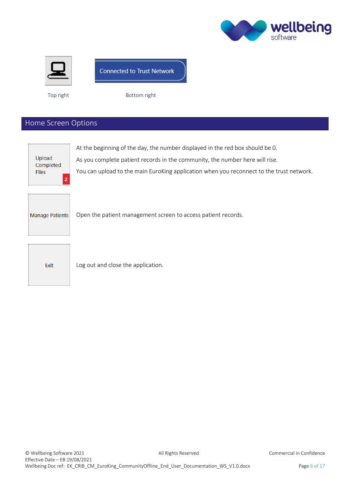



## **Connected to Trust Network**

Top right Bottom right

# <span id="page-6-0"></span>Home Screen Options

| Upload<br>Completed<br><b>Files</b><br>2 | At the beginning of the day, the number displayed in the red box should be 0.<br>As you complete patient records in the community, the number here will rise.<br>You can upload to the main EuroKing application when you reconnect to the trust network. |
|------------------------------------------|-----------------------------------------------------------------------------------------------------------------------------------------------------------------------------------------------------------------------------------------------------------|
| Manage Patients                          | Open the patient management screen to access patient records.                                                                                                                                                                                             |
| Exit                                     | Log out and close the application.                                                                                                                                                                                                                        |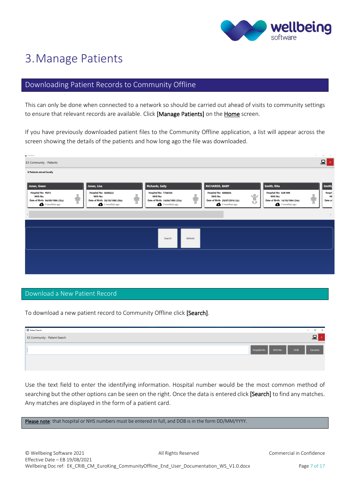

# <span id="page-7-0"></span>3.Manage Patients

# <span id="page-7-1"></span>Downloading Patient Records to Community Offline

This can only be done when connected to a network so should be carried out ahead of visits to community settings to ensure that relevant records are available. Click [Manage Patients] on the Home screen.

If you have previously downloaded patient files to the Community Offline application, a list will appear across the screen showing the details of the patients and how long ago the file was downloaded.

| <b>EV</b> Patients                                                                                                                                                                                                   |                                                                                                    |                                                                                                   | $\sim$                                                                                               | $\omega \rightarrow -\infty$ |
|----------------------------------------------------------------------------------------------------------------------------------------------------------------------------------------------------------------------|----------------------------------------------------------------------------------------------------|---------------------------------------------------------------------------------------------------|------------------------------------------------------------------------------------------------------|------------------------------|
| E3 Community - Patients                                                                                                                                                                                              |                                                                                                    |                                                                                                   |                                                                                                      |                              |
| <b>8 Patients stored locally</b>                                                                                                                                                                                     |                                                                                                    |                                                                                                   |                                                                                                      |                              |
|                                                                                                                                                                                                                      |                                                                                                    |                                                                                                   |                                                                                                      |                              |
| Jones, Lisa<br>Jones, Gwen                                                                                                                                                                                           | <b>Richards, Sally</b>                                                                             | <b>RICHARDS, BABY</b>                                                                             | Smith, Rita                                                                                          | Smith                        |
| <b>Hospital No: PDT3</b><br>Hospital No: N200222<br>¢<br>G<br><b>NHS No:</b><br><b>NHS No:</b><br>Date of Birth: 28/10/1980 (38y)<br>Date of Birth: 04/09/1986 (32y)<br>$3$ month(s) ago<br>$\bullet$ 3 month(s) ago | Hospital No: T768350<br>۰<br><b>NHS No:</b><br>Date of Birth: 14/04/1985 (33y)<br>$3$ month(s) ago | Hospital No: S000026<br>Ů<br><b>NHS No:</b><br>Date of Birth: 29/07/2016 (2y)<br>$3$ month(s) ago | <b>Hospital No: EUR 999</b><br><b>NHS No:</b><br>Date of Birth: 14/10/1984 (34y)<br>$3$ month(s) ago | Hospit<br>NI<br>Date of      |
|                                                                                                                                                                                                                      |                                                                                                    |                                                                                                   |                                                                                                      | $\rightarrow$                |
|                                                                                                                                                                                                                      |                                                                                                    |                                                                                                   |                                                                                                      |                              |
|                                                                                                                                                                                                                      | Refresh<br>Search                                                                                  |                                                                                                   |                                                                                                      |                              |
|                                                                                                                                                                                                                      |                                                                                                    |                                                                                                   |                                                                                                      |                              |
|                                                                                                                                                                                                                      |                                                                                                    |                                                                                                   |                                                                                                      |                              |
|                                                                                                                                                                                                                      |                                                                                                    |                                                                                                   |                                                                                                      |                              |
|                                                                                                                                                                                                                      |                                                                                                    |                                                                                                   |                                                                                                      |                              |

#### <span id="page-7-2"></span>Download a New Patient Record

To download a new patient record to Community Offline click [Search].

| <b>EC</b> Patient Search      | $\sim$ 100 $\mu$<br>$\times$<br>□                |
|-------------------------------|--------------------------------------------------|
| E3 Community - Patient Search |                                                  |
|                               | Hospital No.<br>NHS No.<br><b>DOB</b><br>Surname |
|                               |                                                  |

Use the text field to enter the identifying information. Hospital number would be the most common method of searching but the other options can be seen on the right. Once the data is entered click [Search] to find any matches. Any matches are displayed in the form of a patient card.

Please note: that hospital or NHS numbers must be entered in full, and DOB is in the form DD/MM/YYYY.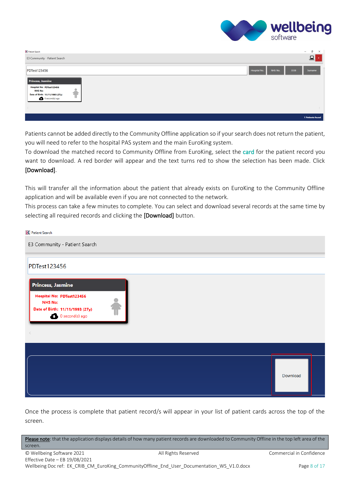

| <b>EX</b> Patient Search                                                                                                         |                         | $\sim$     | σ<br>$\times$    |
|----------------------------------------------------------------------------------------------------------------------------------|-------------------------|------------|------------------|
| E3 Community - Patient Search                                                                                                    |                         |            | 므                |
| PDTest123456                                                                                                                     | Hospital No.<br>NHS No. | <b>DOB</b> | Surname          |
| Princess, Jasmine<br>Hospital No: PDTest123456<br><b>NHS No:</b><br>Date of Birth: 11/11/1993 (27y)<br>$\bullet$ 0 second(s) ago |                         |            |                  |
| $\langle$                                                                                                                        |                         |            |                  |
|                                                                                                                                  |                         |            | 1 Patients found |

Patients cannot be added directly to the Community Offline application so if your search does not return the patient, you will need to refer to the hospital PAS system and the main EuroKing system.

To download the matched record to Community Offline from EuroKing, select the card for the patient record you want to download. A red border will appear and the text turns red to show the selection has been made. Click [Download].

This will transfer all the information about the patient that already exists on EuroKing to the Community Offline application and will be available even if you are not connected to the network.

This process can take a few minutes to complete. You can select and download several records at the same time by selecting all required records and clicking the [Download] button.

| <b>K</b> Patient Search                                                                                     |          |
|-------------------------------------------------------------------------------------------------------------|----------|
| E3 Community - Patient Search                                                                               |          |
| PDTest123456                                                                                                |          |
| <b>Princess, Jasmine</b>                                                                                    |          |
| Hospital No: PDTest123456<br><b>NHS No:</b><br>Date of Birth: 11/11/1993 (27y)<br>$\bullet$ 0 second(s) ago |          |
|                                                                                                             |          |
|                                                                                                             | Download |

Once the process is complete that patient record/s will appear in your list of patient cards across the top of the screen.

Please note: that the application displays details of how many patient records are downloaded to Community Offline in the top left area of the screen.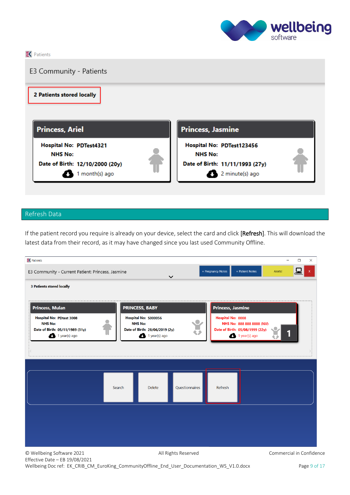

 $R$  Patients E3 Community - Patients 2 Patients stored locally **Princess, Ariel Princess, Jasmine** Hospital No: PDTest4321 Hospital No: PDTest123456 **NHS No: NHS No:** Date of Birth: 12/10/2000 (20y) Date of Birth: 11/11/1993 (27y) 1 month(s) ago 2 minute(s) ago

### <span id="page-9-0"></span>Refresh Data

If the patient record you require is already on your device, select the card and click [Refresh]. This will download the latest data from their record, as it may have changed since you last used Community Offline.

| $R$ Patients                                                                                                      |                                                                                             | $\Box$<br>$\times$                                                                                                |
|-------------------------------------------------------------------------------------------------------------------|---------------------------------------------------------------------------------------------|-------------------------------------------------------------------------------------------------------------------|
| E3 Community - Current Patient: Princess, Jasmine                                                                 | $\checkmark$                                                                                | + Pregnancy Notes<br>+ Patient Notes<br>Alerts!                                                                   |
| <b>3 Patients stored locally</b>                                                                                  |                                                                                             |                                                                                                                   |
| <b>Princess, Mulan</b>                                                                                            | <b>PRINCESS, BABY</b>                                                                       | <b>Princess, Jasmine</b>                                                                                          |
| <b>Hospital No: PDtest 3008</b><br><b>NHS No:</b><br>Date of Birth: 05/11/1989 (31y)<br>$\bigoplus$ 1 year(s) ago | Hospital No: S000056<br><b>NHS No:</b><br>Date of Birth: 28/06/2019 (2y)<br>$1$ year(s) ago | Hospital No: 0008<br><b>CE</b><br>NHS No: 888 888 8888 (NV)<br>Date of Birth: 05/08/1999 (22y)<br>$1$ year(s) ago |
|                                                                                                                   |                                                                                             |                                                                                                                   |
|                                                                                                                   |                                                                                             |                                                                                                                   |
|                                                                                                                   | Questionnaires<br><b>Delete</b><br>Search                                                   | Refresh                                                                                                           |
|                                                                                                                   |                                                                                             |                                                                                                                   |
|                                                                                                                   |                                                                                             |                                                                                                                   |
|                                                                                                                   |                                                                                             |                                                                                                                   |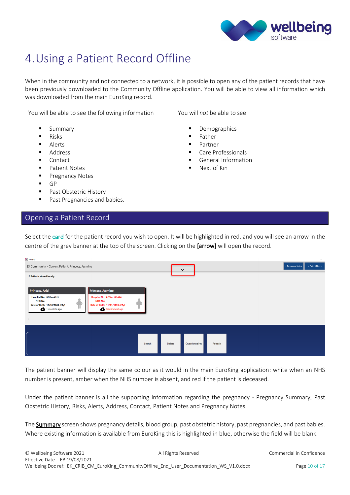

# <span id="page-10-0"></span>4.Using a Patient Record Offline

When in the community and not connected to a network, it is possible to open any of the patient records that have been previously downloaded to the Community Offline application. You will be able to view all information which was downloaded from the main EuroKing record.

You will be able to see the following information You will *not* be able to see

- Summary
- Risks
- **Alerts**
- **Address**
- Contact
- Patient Notes
- Pregnancy Notes
- GP
- Past Obstetric History
- Past Pregnancies and babies.

#### <span id="page-10-1"></span>Opening a Patient Record

- **Demographics**
- Father
- Partner
- Care Professionals
- General Information
- Next of Kin

Select the card for the patient record you wish to open. It will be highlighted in red, and you will see an arrow in the centre of the grey banner at the top of the screen. Clicking on the [arrow] will open the record.

| <b>EX Patients</b>                                                                                                                                                                                                                                    |        |        |                           |                                      |  |
|-------------------------------------------------------------------------------------------------------------------------------------------------------------------------------------------------------------------------------------------------------|--------|--------|---------------------------|--------------------------------------|--|
| E3 Community - Current Patient: Princess, Jasmine                                                                                                                                                                                                     |        |        | $\checkmark$              | + Pregnancy Notes<br>+ Patient Notes |  |
| 2 Patients stored locally                                                                                                                                                                                                                             |        |        |                           |                                      |  |
| Princess, Ariel<br><b>Princess, Jasmine</b><br>Hospital No: PDTest4321<br>Hospital No: PDTest123456<br><b>NHS No:</b><br><b>NHS No:</b><br>Date of Birth: 11/11/1993 (27y)<br>Date of Birth: 12/10/2000 (20y)<br>$1$ month(s) ago<br>38 minute(s) ago | ۵      |        |                           |                                      |  |
|                                                                                                                                                                                                                                                       |        |        |                           |                                      |  |
|                                                                                                                                                                                                                                                       | Search | Delete | Questionnaires<br>Refresh |                                      |  |

The patient banner will display the same colour as it would in the main EuroKing application: white when an NHS number is present, amber when the NHS number is absent, and red if the patient is deceased.

Under the patient banner is all the supporting information regarding the pregnancy - Pregnancy Summary, Past Obstetric History, Risks, Alerts, Address, Contact, Patient Notes and Pregnancy Notes.

The **Summary** screen shows pregnancy details, blood group, past obstetric history, past pregnancies, and past babies. Where existing information is available from EuroKing this is highlighted in blue, otherwise the field will be blank.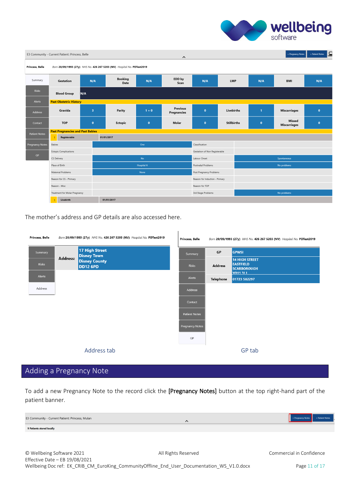

| E3 Community - Current Patient: Princess, Belle<br>+ Pregnancy Notes<br>$\hat{}$ |                                                           |                         |                                                                         |                   |                                |                                   |                    |  | <b>IE</b><br>+ Patient Notes |                               |           |
|----------------------------------------------------------------------------------|-----------------------------------------------------------|-------------------------|-------------------------------------------------------------------------|-------------------|--------------------------------|-----------------------------------|--------------------|--|------------------------------|-------------------------------|-----------|
| Princess, Belle                                                                  |                                                           |                         | Born 20/09/1993 (27y) NHS No. 426 267 5203 (NV) Hospital No. PDTest2019 |                   |                                |                                   |                    |  |                              |                               |           |
| Summary                                                                          | Gestation                                                 | N/A                     | <b>Booking</b><br>Date                                                  | N/A               | EDD by<br>Scan                 | N/A                               | <b>LMP</b>         |  | N/A                          | <b>BMI</b>                    | N/A       |
| Risks                                                                            | <b>Blood Group</b><br>N/A                                 |                         |                                                                         |                   |                                |                                   |                    |  |                              |                               |           |
| Alerts                                                                           | <b>Past Obstetric History</b>                             |                         |                                                                         |                   |                                |                                   |                    |  |                              |                               |           |
| Address                                                                          | Gravida                                                   | $\overline{\mathbf{3}}$ | Parity                                                                  | $1 + 0$           | <b>Previous</b><br>Pregnancies | $\bullet$                         | <b>Livebirths</b>  |  | $\mathbf{1}$                 | <b>Miscarriages</b>           | $\pmb{0}$ |
| Contact                                                                          | <b>TOP</b>                                                | $\mathbf{0}$            | Ectopic                                                                 | $\bullet$         | Molar                          | $\bullet$                         | <b>Stillbirths</b> |  | $\pmb{0}$                    | Missed<br><b>Miscarriages</b> | $\bf{0}$  |
| <b>Patient Notes</b>                                                             | <b>Past Pregnancies and Past Babies</b>                   |                         |                                                                         |                   |                                |                                   |                    |  |                              |                               |           |
|                                                                                  | Registerable                                              |                         | 01/01/2017                                                              |                   |                                |                                   |                    |  |                              |                               |           |
| Pregnancy Notes                                                                  | Babies                                                    |                         |                                                                         | One               |                                | Classification                    |                    |  |                              |                               |           |
|                                                                                  | <b>Ectopic Complications</b>                              |                         |                                                                         |                   |                                | Gestation of Non Registerable     |                    |  |                              |                               |           |
| GP                                                                               | CS Delivery                                               |                         |                                                                         | <b>No</b>         |                                | Labour Onset<br>Spontaneous       |                    |  |                              |                               |           |
|                                                                                  | Place of Birth                                            |                         |                                                                         | <b>Hospital A</b> |                                | Postnatal Problems<br>No problems |                    |  |                              |                               |           |
|                                                                                  | Maternal Problems<br>Post Pregnancy Problems<br>None      |                         |                                                                         |                   |                                |                                   |                    |  |                              |                               |           |
|                                                                                  | Reason for CS - Primary<br>Reason for Induction - Primary |                         |                                                                         |                   |                                |                                   |                    |  |                              |                               |           |
|                                                                                  | Reason - Misc<br>Reason for TOP                           |                         |                                                                         |                   |                                |                                   |                    |  |                              |                               |           |
|                                                                                  | Treatment for Molar Pregnancy                             |                         |                                                                         |                   |                                | 3rd Stage Problems                |                    |  |                              | No problems                   |           |
|                                                                                  | Livebirth                                                 |                         | 01/01/2017                                                              |                   |                                |                                   |                    |  |                              |                               |           |

The mother's address and GP details are also accessed here.

| Princess, Belle<br>Born 20/09/1993 (27y) NHS No. 426 267 5203 (NV) Hospital No. PDTest2019 |                 |                                      | Princess, Belle        |           | Born 20/09/1993 (27y) NHS No. 426 267 5203 (NV) Hospital No. PDTest2019            |
|--------------------------------------------------------------------------------------------|-----------------|--------------------------------------|------------------------|-----------|------------------------------------------------------------------------------------|
| Summary                                                                                    | <b>Address:</b> | 17 High Street<br><b>Disney Town</b> | Summary                | GP        | <b>GPWSI</b>                                                                       |
| <b>Risks</b>                                                                               |                 | <b>Disney County</b><br>DD12 6PD     | Risks                  | Address   | <b>14 HIGH STREET</b><br><b>EASTFIELD</b><br><b>SCARBOROUGH</b><br><b>VO11 3LL</b> |
| Alerts                                                                                     |                 |                                      | Alerts                 | Telephone | 01723 582297                                                                       |
| Address                                                                                    |                 |                                      | Address                |           |                                                                                    |
|                                                                                            |                 |                                      | Contact                |           |                                                                                    |
|                                                                                            |                 |                                      | <b>Patient Notes</b>   |           |                                                                                    |
|                                                                                            |                 |                                      | <b>Pregnancy Notes</b> |           |                                                                                    |
|                                                                                            |                 |                                      | GP                     |           |                                                                                    |
|                                                                                            |                 | Address tab                          |                        |           | GP tab                                                                             |

 $\mathbf{r}$ 

# <span id="page-11-0"></span>Adding a Pregnancy Note

To add a new Pregnancy Note to the record click the [Pregnancy Notes] button at the top right-hand part of the patient banner.

| E3 Community - Current Patient: Princess, Mulan | $\boldsymbol{\wedge}$ | + Patient Notes<br>+ Pregnancy Notes |
|-------------------------------------------------|-----------------------|--------------------------------------|
| <b>9 Patients stored locally</b>                |                       |                                      |
|                                                 |                       |                                      |
|                                                 |                       |                                      |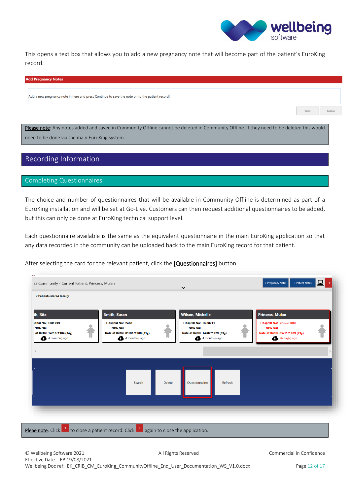

Cancel

This opens a text box that allows you to add a new pregnancy note that will become part of the patient's EuroKing record.

#### **Add Pregnancy Notes**

Add a new pregnancy note in here and press Continue to save the note on to the patient record.

Please note: Any notes added and saved in Community Offline cannot be deleted in Community Offline. If they need to be deleted this would need to be done via the main EuroKing system.

#### <span id="page-12-0"></span>Recording Information

#### <span id="page-12-1"></span>Completing Questionnaires

The choice and number of questionnaires that will be available in Community Offline is determined as part of a EuroKing installation and will be set at Go-Live. Customers can then request additional questionnaires to be added, but this can only be done at EuroKing technical support level.

Each questionnaire available is the same as the equivalent questionnaire in the main EuroKing application so that any data recorded in the community can be uploaded back to the main EuroKing record for that patient.

After selecting the card for the relevant patient, click the [Questionnaires] button.

| th, Rita                                                                               | <b>Smith, Susan</b>                                                                        |        | <b>Wilson, Michelle</b>                                                                       | <b>Princess, Mulan</b>                                                                                          |  |
|----------------------------------------------------------------------------------------|--------------------------------------------------------------------------------------------|--------|-----------------------------------------------------------------------------------------------|-----------------------------------------------------------------------------------------------------------------|--|
| spital No: EUR 999<br><b>NHS No:</b><br>: of Birth: 14/10/1984 (34y)<br>4 month(s) ago | Hospital No: 2468<br><b>NHS No:</b><br>Date of Birth: 01/01/1988 (31y)<br>$4$ month(s) ago |        | Hospital No: N200211<br><b>NHS No:</b><br>Date of Birth: 14/07/1979 (39y)<br>$4$ month(s) ago | <b>Hospital No: PDtest 3008</b><br><b>NHS No:</b><br>Date of Birth: 05/11/1989 (29y)<br>$26 \text{ day(s)}$ ago |  |
|                                                                                        |                                                                                            |        |                                                                                               |                                                                                                                 |  |
|                                                                                        |                                                                                            |        |                                                                                               |                                                                                                                 |  |
|                                                                                        | Search                                                                                     | Delete | Questionnaires<br>Refresh                                                                     |                                                                                                                 |  |
|                                                                                        |                                                                                            |        |                                                                                               |                                                                                                                 |  |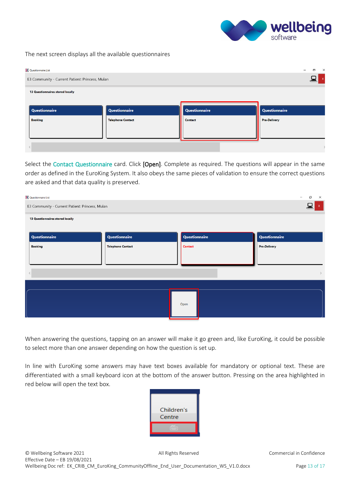

#### The next screen displays all the available questionnaires

| <b>K</b> Questionnaire List                     |                          |               | σ<br>$\mathsf{X}$<br>$\hspace{0.05cm}$ |  |  |
|-------------------------------------------------|--------------------------|---------------|----------------------------------------|--|--|
| E3 Community - Current Patient: Princess, Mulan |                          |               |                                        |  |  |
| <b>13 Questionnaires stored locally</b>         |                          |               |                                        |  |  |
|                                                 |                          |               |                                        |  |  |
| Questionnaire                                   | Questionnaire            | Questionnaire | Questionnaire                          |  |  |
| <b>Booking</b>                                  | <b>Telephone Contact</b> | Contact       | <b>Pre-Delivery</b>                    |  |  |
|                                                 |                          |               |                                        |  |  |
|                                                 |                          |               |                                        |  |  |
|                                                 |                          |               |                                        |  |  |

Select the Contact Questionnaire card. Click [Open]. Complete as required. The questions will appear in the same order as defined in the EuroKing System. It also obeys the same pieces of validation to ensure the correct questions are asked and that data quality is preserved.

| <b>K</b> Questionnaire List                     |                          |               | Ο<br>$\times$<br>$\overline{\phantom{a}}$ |  |  |
|-------------------------------------------------|--------------------------|---------------|-------------------------------------------|--|--|
| E3 Community - Current Patient: Princess, Mulan |                          |               |                                           |  |  |
| 13 Questionnaires stored locally                |                          |               |                                           |  |  |
| Questionnaire                                   | <b>Questionnaire</b>     | Questionnaire | Questionnaire                             |  |  |
| <b>Booking</b>                                  | <b>Telephone Contact</b> | Contact       | <b>Pre-Delivery</b>                       |  |  |
|                                                 |                          |               |                                           |  |  |
|                                                 |                          |               | $\rightarrow$                             |  |  |
|                                                 |                          |               |                                           |  |  |
|                                                 |                          |               |                                           |  |  |
|                                                 |                          | Open          |                                           |  |  |
|                                                 |                          |               |                                           |  |  |

When answering the questions, tapping on an answer will make it go green and, like EuroKing, it could be possible to select more than one answer depending on how the question is set up.

In line with EuroKing some answers may have text boxes available for mandatory or optional text. These are differentiated with a small keyboard icon at the bottom of the answer button. Pressing on the area highlighted in red below will open the text box.

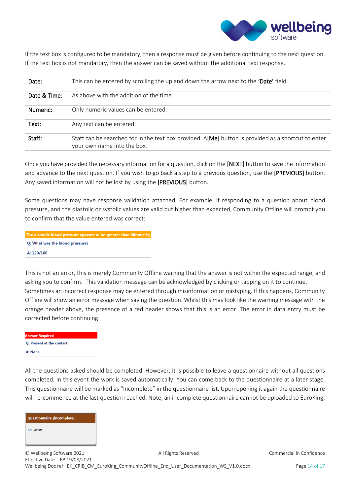

If the text box is configured to be mandatory, then a response must be given before continuing to the next question. If the text box is not mandatory, then the answer can be saved without the additional text response.

| Date:        | This can be entered by scrolling the up and down the arrow next to the 'Date' field.                                               |
|--------------|------------------------------------------------------------------------------------------------------------------------------------|
| Date & Time: | As above with the addition of the time.                                                                                            |
| Numeric:     | Only numeric values can be entered.                                                                                                |
| Text:        | Any text can be entered.                                                                                                           |
| Staff:       | Staff can be searched for in the text box provided. A[Me] button is provided as a shortcut to enter<br>your own name into the box. |

Once you have provided the necessary information for a question, click on the [NEXT] button to save the information and advance to the next question. If you wish to go back a step to a previous question, use the [PREVIOUS] button. Any saved information will not be lost by using the [PREVIOUS] button.

Some questions may have response validation attached. For example, if responding to a question about blood pressure, and the diastolic or systolic values are valid but higher than expected, Community Offline will prompt you to confirm that the value entered was correct:

The diastolic blood pressure appears to be greater than 90mm/Hg Q: What was the blood pressure? A: 120/100

This is not an error, this is merely Community Offline warning that the answer is not within the expected range, and asking you to confirm. This validation message can be acknowledged by clicking or tapping on it to continue. Sometimes an incorrect response may be entered through misinformation or mistyping. If this happens, Community Offline will show an error message when saving the question. Whilst this may look like the warning message with the orange header above, the presence of a red header shows that this is an error. The error in data entry must be corrected before continuing.

**Answer Required** Q: Present at the contact A: None

All the questions asked should be completed. However, it is possible to leave a questionnaire without all questions completed. In this event the work is saved automatically. You can come back to the questionnaire at a later stage. This questionnaire will be marked as "Incomplete" in the questionnaire list. Upon opening it again the questionnaire will re-commence at the last question reached. Note, an incomplete questionnaire cannot be uploaded to EuroKing.



© Wellbeing Software 2021 **All Rights Reserved** Commercial in Confidence Effective Date – EB 19/08/2021 Wellbeing Doc ref: EK\_CRIB\_CM\_EuroKing\_CommunityOffline\_End\_User\_Documentation\_WS\_V1.0.docx Page 14 of 17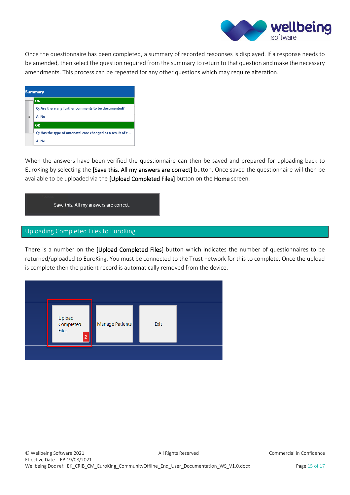

Once the questionnaire has been completed, a summary of recorded responses is displayed. If a response needs to be amended, then select the question required from the summary to return to that question and make the necessary amendments. This process can be repeated for any other questions which may require alteration.

| <b>Summary</b> |                                                            |  |  |
|----------------|------------------------------------------------------------|--|--|
|                | l ok                                                       |  |  |
|                | Q: Are there any further comments to be documented?        |  |  |
|                | A: No                                                      |  |  |
|                | <b>OK</b>                                                  |  |  |
|                | Q: Has the type of antenatal care changed as a result of t |  |  |
|                | A: No                                                      |  |  |

When the answers have been verified the questionnaire can then be saved and prepared for uploading back to EuroKing by selecting the [Save this. All my answers are correct] button. Once saved the questionnaire will then be available to be uploaded via the [Upload Completed Files] button on the Home screen.



#### <span id="page-15-0"></span>Uploading Completed Files to EuroKing

There is a number on the [Upload Completed Files] button which indicates the number of questionnaires to be returned/uploaded to EuroKing. You must be connected to the Trust network for this to complete. Once the upload is complete then the patient record is automatically removed from the device.

| Upload<br>Completed<br><b>Files</b><br>$\overline{2}$ | Manage Patients | Exit |  |
|-------------------------------------------------------|-----------------|------|--|
|                                                       |                 |      |  |